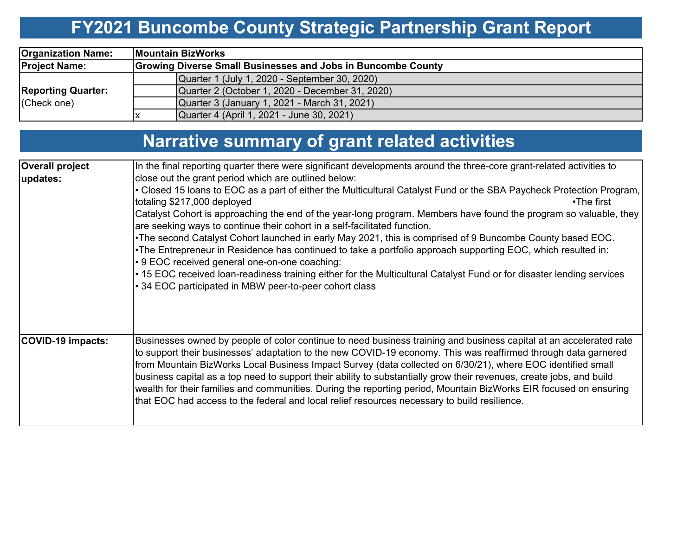# **FY2021 Buncombe County Strategic Partnership Grant Report**

| <b>Organization Name:</b>                |                                                              | <b>Mountain BizWorks</b>                        |  |  |  |  |  |  |  |
|------------------------------------------|--------------------------------------------------------------|-------------------------------------------------|--|--|--|--|--|--|--|
| <b>Project Name:</b>                     | Growing Diverse Small Businesses and Jobs in Buncombe County |                                                 |  |  |  |  |  |  |  |
|                                          |                                                              | Quarter 1 (July 1, 2020 - September 30, 2020)   |  |  |  |  |  |  |  |
| <b>Reporting Quarter:</b><br>(Check one) |                                                              | Quarter 2 (October 1, 2020 - December 31, 2020) |  |  |  |  |  |  |  |
|                                          |                                                              | Quarter 3 (January 1, 2021 - March 31, 2021)    |  |  |  |  |  |  |  |
|                                          |                                                              | Quarter 4 (April 1, 2021 - June 30, 2021)       |  |  |  |  |  |  |  |

| <b>Narrative summary of grant related activities</b> |  |
|------------------------------------------------------|--|
|------------------------------------------------------|--|

| <b>Overall project</b> | In the final reporting quarter there were significant developments around the three-core grant-related activities to                                                                                                                                                                                                                                                                                                                                                                                                                                                                                                                                                                             |
|------------------------|--------------------------------------------------------------------------------------------------------------------------------------------------------------------------------------------------------------------------------------------------------------------------------------------------------------------------------------------------------------------------------------------------------------------------------------------------------------------------------------------------------------------------------------------------------------------------------------------------------------------------------------------------------------------------------------------------|
| updates:               | close out the grant period which are outlined below:                                                                                                                                                                                                                                                                                                                                                                                                                                                                                                                                                                                                                                             |
|                        | • Closed 15 Ioans to EOC as a part of either the Multicultural Catalyst Fund or the SBA Paycheck Protection Program,<br>totaling \$217,000 deployed<br>$\cdot$ The first                                                                                                                                                                                                                                                                                                                                                                                                                                                                                                                         |
|                        | Catalyst Cohort is approaching the end of the year-long program. Members have found the program so valuable, they<br>are seeking ways to continue their cohort in a self-facilitated function.                                                                                                                                                                                                                                                                                                                                                                                                                                                                                                   |
|                        | .The second Catalyst Cohort launched in early May 2021, this is comprised of 9 Buncombe County based EOC.<br>•The Entrepreneur in Residence has continued to take a portfolio approach supporting EOC, which resulted in:<br>• 9 EOC received general one-on-one coaching:                                                                                                                                                                                                                                                                                                                                                                                                                       |
|                        | • 15 EOC received loan-readiness training either for the Multicultural Catalyst Fund or for disaster lending services<br>• 34 EOC participated in MBW peer-to-peer cohort class                                                                                                                                                                                                                                                                                                                                                                                                                                                                                                                  |
| COVID-19 impacts:      | Businesses owned by people of color continue to need business training and business capital at an accelerated rate<br>to support their businesses' adaptation to the new COVID-19 economy. This was reaffirmed through data garnered<br>from Mountain BizWorks Local Business Impact Survey (data collected on 6/30/21), where EOC identified small<br>business capital as a top need to support their ability to substantially grow their revenues, create jobs, and build<br>wealth for their families and communities. During the reporting period, Mountain BizWorks EIR focused on ensuring<br>that EOC had access to the federal and local relief resources necessary to build resilience. |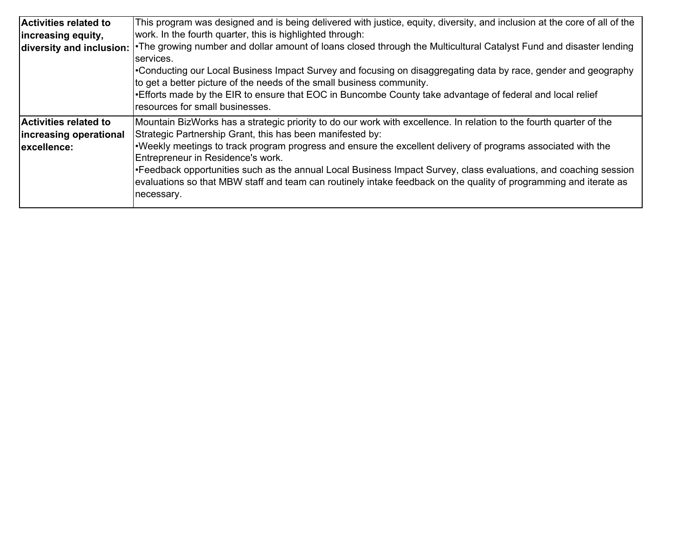| Activities related to<br>increasing equity, | This program was designed and is being delivered with justice, equity, diversity, and inclusion at the core of all of the<br>work. In the fourth quarter, this is highlighted through:  |  |  |  |  |  |  |  |
|---------------------------------------------|-----------------------------------------------------------------------------------------------------------------------------------------------------------------------------------------|--|--|--|--|--|--|--|
|                                             | diversity and inclusion:   The growing number and dollar amount of loans closed through the Multicultural Catalyst Fund and disaster lending<br>services.                               |  |  |  |  |  |  |  |
|                                             | •Conducting our Local Business Impact Survey and focusing on disaggregating data by race, gender and geography<br>to get a better picture of the needs of the small business community. |  |  |  |  |  |  |  |
|                                             | •Efforts made by the EIR to ensure that EOC in Buncombe County take advantage of federal and local relief<br>resources for small businesses.                                            |  |  |  |  |  |  |  |
| <b>Activities related to</b>                | Mountain BizWorks has a strategic priority to do our work with excellence. In relation to the fourth quarter of the                                                                     |  |  |  |  |  |  |  |
| increasing operational                      | Strategic Partnership Grant, this has been manifested by:                                                                                                                               |  |  |  |  |  |  |  |
| lexcellence:                                | . Weekly meetings to track program progress and ensure the excellent delivery of programs associated with the                                                                           |  |  |  |  |  |  |  |
|                                             | Entrepreneur in Residence's work.                                                                                                                                                       |  |  |  |  |  |  |  |
|                                             | Feedback opportunities such as the annual Local Business Impact Survey, class evaluations, and coaching session                                                                         |  |  |  |  |  |  |  |
|                                             | evaluations so that MBW staff and team can routinely intake feedback on the quality of programming and iterate as                                                                       |  |  |  |  |  |  |  |
|                                             | necessary.                                                                                                                                                                              |  |  |  |  |  |  |  |
|                                             |                                                                                                                                                                                         |  |  |  |  |  |  |  |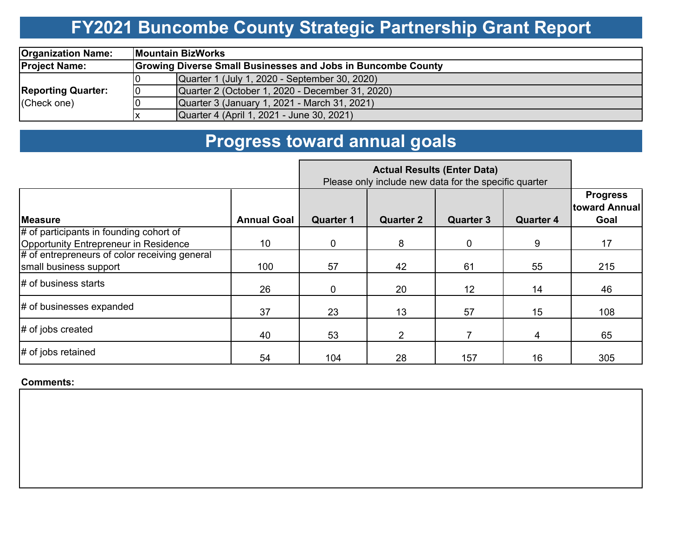## **FY2021 Buncombe County Strategic Partnership Grant Report**

| <b>Organization Name:</b> |                                                                     | <b>IMountain BizWorks</b>                       |  |  |  |  |  |  |  |
|---------------------------|---------------------------------------------------------------------|-------------------------------------------------|--|--|--|--|--|--|--|
| <b>Project Name:</b>      | <b>Growing Diverse Small Businesses and Jobs in Buncombe County</b> |                                                 |  |  |  |  |  |  |  |
|                           |                                                                     | Quarter 1 (July 1, 2020 - September 30, 2020)   |  |  |  |  |  |  |  |
| <b>Reporting Quarter:</b> | 10                                                                  | Quarter 2 (October 1, 2020 - December 31, 2020) |  |  |  |  |  |  |  |
| (Check one)               |                                                                     | Quarter 3 (January 1, 2021 - March 31, 2021)    |  |  |  |  |  |  |  |
|                           |                                                                     | Quarter 4 (April 1, 2021 - June 30, 2021)       |  |  |  |  |  |  |  |

### **Progress toward annual goals**

|                                                                                  |                    | Please only include new data for the specific quarter |                  |                  |                  |                                          |
|----------------------------------------------------------------------------------|--------------------|-------------------------------------------------------|------------------|------------------|------------------|------------------------------------------|
| <b>Measure</b>                                                                   | <b>Annual Goal</b> | <b>Quarter 1</b>                                      | <b>Quarter 2</b> | <b>Quarter 3</b> | <b>Quarter 4</b> | <b>Progress</b><br>toward Annual<br>Goal |
| # of participants in founding cohort of<br>Opportunity Entrepreneur in Residence | 10                 | 0                                                     | 8                | 0                | 9                | 17                                       |
| # of entrepreneurs of color receiving general<br>small business support          | 100                | 57                                                    | 42               | 61               | 55               | 215                                      |
| # of business starts                                                             | 26                 | 0                                                     | 20               | 12               | 14               | 46                                       |
| # of businesses expanded                                                         | 37                 | 23                                                    | 13               | 57               | 15               | 108                                      |
| # of jobs created                                                                | 40                 | 53                                                    | $\overline{2}$   |                  | 4                | 65                                       |
| # of jobs retained                                                               | 54                 | 104                                                   | 28               | 157              | 16               | 305                                      |

#### **Comments:**